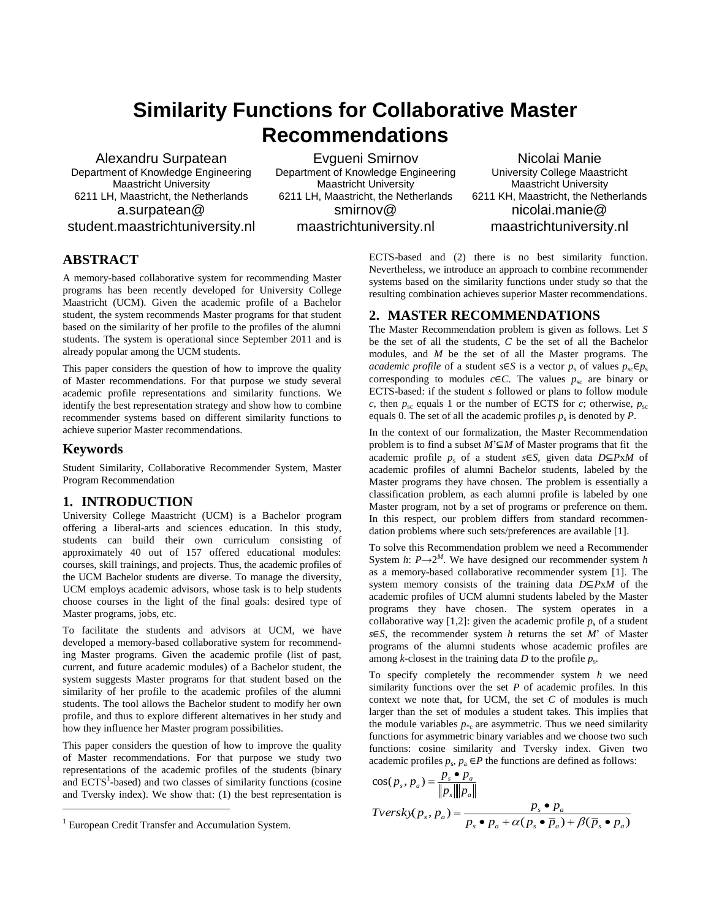# **Similarity Functions for Collaborative Master Recommendations**

Alexandru Surpatean Department of Knowledge Engineering Maastricht University 6211 LH, Maastricht, the Netherlands a.surpatean@ student.maastrichtuniversity.nl

Evgueni Smirnov Department of Knowledge Engineering Maastricht University 6211 LH, Maastricht, the Netherlands smirnov@ maastrichtuniversity.nl

Nicolai Manie University College Maastricht Maastricht University 6211 KH, Maastricht, the Netherlands nicolai.manie@ maastrichtuniversity.nl

# **ABSTRACT**

A memory-based collaborative system for recommending Master programs has been recently developed for University College Maastricht (UCM). Given the academic profile of a Bachelor student, the system recommends Master programs for that student based on the similarity of her profile to the profiles of the alumni students. The system is operational since September 2011 and is already popular among the UCM students.

This paper considers the question of how to improve the quality of Master recommendations. For that purpose we study several academic profile representations and similarity functions. We identify the best representation strategy and show how to combine recommender systems based on different similarity functions to achieve superior Master recommendations.

# **Keywords**

l

Student Similarity, Collaborative Recommender System, Master Program Recommendation

## **1. INTRODUCTION**

University College Maastricht (UCM) is a Bachelor program offering a liberal-arts and sciences education. In this study, students can build their own curriculum consisting of approximately 40 out of 157 offered educational modules: courses, skill trainings, and projects. Thus, the academic profiles of the UCM Bachelor students are diverse. To manage the diversity, UCM employs academic advisors, whose task is to help students choose courses in the light of the final goals: desired type of Master programs, jobs, etc.

To facilitate the students and advisors at UCM, we have developed a memory-based collaborative system for recommending Master programs. Given the academic profile (list of past, current, and future academic modules) of a Bachelor student, the system suggests Master programs for that student based on the similarity of her profile to the academic profiles of the alumni students. The tool allows the Bachelor student to modify her own profile, and thus to explore different alternatives in her study and how they influence her Master program possibilities.

This paper considers the question of how to improve the quality of Master recommendations. For that purpose we study two representations of the academic profiles of the students (binary and  $ECTS<sup>1</sup>$ -based) and two classes of similarity functions (cosine and Tversky index). We show that: (1) the best representation is

ECTS-based and (2) there is no best similarity function. Nevertheless, we introduce an approach to combine recommender systems based on the similarity functions under study so that the resulting combination achieves superior Master recommendations.

## **2. MASTER RECOMMENDATIONS**

The Master Recommendation problem is given as follows. Let *S* be the set of all the students, *C* be the set of all the Bachelor modules, and *M* be the set of all the Master programs. The *academic profile* of a student *s*∈*S* is a vector  $p_s$  of values  $p_{sc} \in p_s$ corresponding to modules  $c \in \mathbb{C}$ . The values  $p_{\rm sc}$  are binary or ECTS-based: if the student *s* followed or plans to follow module *c*, then  $p_{\rm sc}$  equals 1 or the number of ECTS for *c*; otherwise,  $p_{\rm sc}$ equals 0. The set of all the academic profiles  $p_s$  is denoted by  $P$ .

In the context of our formalization, the Master Recommendation problem is to find a subset *M*'⊆*M* of Master programs that fit the academic profile *p*<sup>s</sup> of a student *s*∈*S*, given data *D*⊆*P*x*M* of academic profiles of alumni Bachelor students, labeled by the Master programs they have chosen. The problem is essentially a classification problem, as each alumni profile is labeled by one Master program, not by a set of programs or preference on them. In this respect, our problem differs from standard recommendation problems where such sets/preferences are available [1].

To solve this Recommendation problem we need a Recommender System *h*:  $P \rightarrow 2^M$ . We have designed our recommender system *h* as a memory-based collaborative recommender system [1]. The system memory consists of the training data *D*⊆*P*x*M* of the academic profiles of UCM alumni students labeled by the Master programs they have chosen. The system operates in a collaborative way [1,2]: given the academic profile  $p_s$  of a student *s*∈*S*, the recommender system *h* returns the set *M*' of Master programs of the alumni students whose academic profiles are among *k*-closest in the training data *D* to the profile *p*<sup>s</sup> *.*

To specify completely the recommender system *h* we need similarity functions over the set *P* of academic profiles. In this context we note that, for UCM, the set *C* of modules is much larger than the set of modules a student takes. This implies that the module variables  $p_{*c}$  are asymmetric. Thus we need similarity functions for asymmetric binary variables and we choose two such functions: cosine similarity and Tversky index. Given two academic profiles  $p_s$ ,  $p_a \in P$  the functions are defined as follows:

$$
\cos(p_s, p_a) = \frac{p_s \bullet p_a}{\|p_s\| \|p_a\|}
$$
  
Tversk $\times$  (p<sub>s</sub>, p<sub>a</sub>) = 
$$
\frac{p_s \bullet p_a}{p_s \bullet p_a + \alpha(p_s \bullet \overline{p}_a) + \beta(\overline{p}_s \bullet p_a)}
$$

<sup>&</sup>lt;sup>1</sup> European Credit Transfer and Accumulation System.